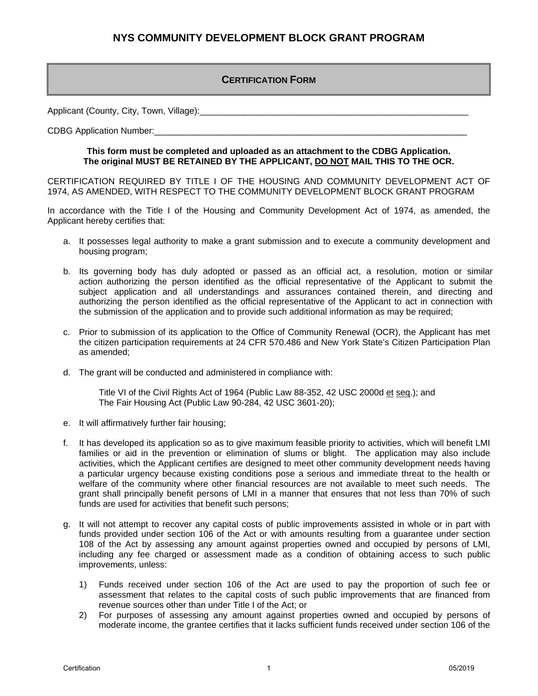#### **CERTIFICATION FORM**

Applicant (County, City, Town, Village):

CDBG Application Number:

#### **This form must be completed and uploaded as an attachment to the CDBG Application. The original MUST BE RETAINED BY THE APPLICANT, DO NOT MAIL THIS TO THE OCR.**

CERTIFICATION REQUIRED BY TITLE I OF THE HOUSING AND COMMUNITY DEVELOPMENT ACT OF 1974, AS AMENDED, WITH RESPECT TO THE COMMUNITY DEVELOPMENT BLOCK GRANT PROGRAM

In accordance with the Title I of the Housing and Community Development Act of 1974, as amended, the Applicant hereby certifies that:

- a. It possesses legal authority to make a grant submission and to execute a community development and housing program;
- b. Its governing body has duly adopted or passed as an official act, a resolution, motion or similar action authorizing the person identified as the official representative of the Applicant to submit the subject application and all understandings and assurances contained therein, and directing and authorizing the person identified as the official representative of the Applicant to act in connection with the submission of the application and to provide such additional information as may be required;
- c. Prior to submission of its application to the Office of Community Renewal (OCR), the Applicant has met the citizen participation requirements at 24 CFR 570.486 and New York State's Citizen Participation Plan as amended;
- d. The grant will be conducted and administered in compliance with:

Title VI of the Civil Rights Act of 1964 (Public Law 88-352, 42 USC 2000d et seq.); and The Fair Housing Act (Public Law 90-284, 42 USC 3601-20);

- e. It will affirmatively further fair housing;
- f. It has developed its application so as to give maximum feasible priority to activities, which will benefit LMI families or aid in the prevention or elimination of slums or blight. The application may also include activities, which the Applicant certifies are designed to meet other community development needs having a particular urgency because existing conditions pose a serious and immediate threat to the health or welfare of the community where other financial resources are not available to meet such needs. The grant shall principally benefit persons of LMI in a manner that ensures that not less than 70% of such funds are used for activities that benefit such persons;
- g. It will not attempt to recover any capital costs of public improvements assisted in whole or in part with funds provided under section 106 of the Act or with amounts resulting from a guarantee under section 108 of the Act by assessing any amount against properties owned and occupied by persons of LMI, including any fee charged or assessment made as a condition of obtaining access to such public improvements, unless:
	- 1) Funds received under section 106 of the Act are used to pay the proportion of such fee or assessment that relates to the capital costs of such public improvements that are financed from revenue sources other than under Title I of the Act; or
	- 2) For purposes of assessing any amount against properties owned and occupied by persons of moderate income, the grantee certifies that it lacks sufficient funds received under section 106 of the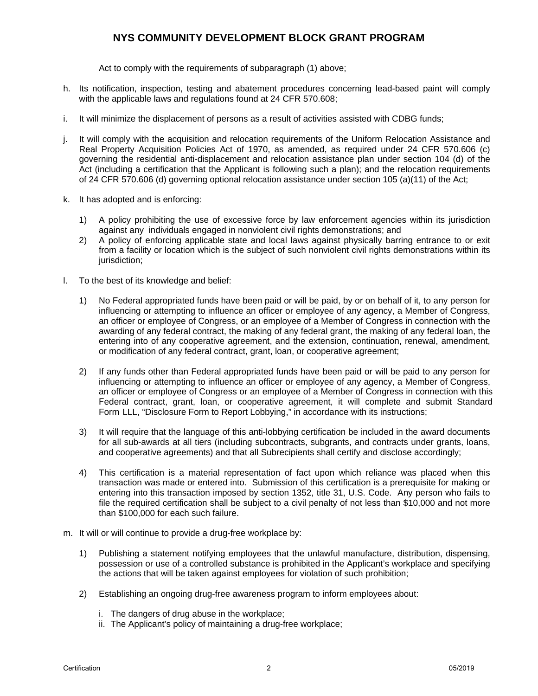Act to comply with the requirements of subparagraph (1) above;

- h. Its notification, inspection, testing and abatement procedures concerning lead-based paint will comply with the applicable laws and regulations found at 24 CFR 570.608;
- i. It will minimize the displacement of persons as a result of activities assisted with CDBG funds;
- j. It will comply with the acquisition and relocation requirements of the Uniform Relocation Assistance and Real Property Acquisition Policies Act of 1970, as amended, as required under 24 CFR 570.606 (c) governing the residential anti-displacement and relocation assistance plan under section 104 (d) of the Act (including a certification that the Applicant is following such a plan); and the relocation requirements of 24 CFR 570.606 (d) governing optional relocation assistance under section 105 (a)(11) of the Act;
- k. It has adopted and is enforcing:
	- 1) A policy prohibiting the use of excessive force by law enforcement agencies within its jurisdiction against any individuals engaged in nonviolent civil rights demonstrations; and
	- 2) A policy of enforcing applicable state and local laws against physically barring entrance to or exit from a facility or location which is the subject of such nonviolent civil rights demonstrations within its jurisdiction;
- l. To the best of its knowledge and belief:
	- 1) No Federal appropriated funds have been paid or will be paid, by or on behalf of it, to any person for influencing or attempting to influence an officer or employee of any agency, a Member of Congress, an officer or employee of Congress, or an employee of a Member of Congress in connection with the awarding of any federal contract, the making of any federal grant, the making of any federal loan, the entering into of any cooperative agreement, and the extension, continuation, renewal, amendment, or modification of any federal contract, grant, loan, or cooperative agreement;
	- 2) If any funds other than Federal appropriated funds have been paid or will be paid to any person for influencing or attempting to influence an officer or employee of any agency, a Member of Congress, an officer or employee of Congress or an employee of a Member of Congress in connection with this Federal contract, grant, loan, or cooperative agreement, it will complete and submit Standard Form LLL, "Disclosure Form to Report Lobbying," in accordance with its instructions;
	- 3) It will require that the language of this anti-lobbying certification be included in the award documents for all sub-awards at all tiers (including subcontracts, subgrants, and contracts under grants, loans, and cooperative agreements) and that all Subrecipients shall certify and disclose accordingly;
	- 4) This certification is a material representation of fact upon which reliance was placed when this transaction was made or entered into. Submission of this certification is a prerequisite for making or entering into this transaction imposed by section 1352, title 31, U.S. Code. Any person who fails to file the required certification shall be subject to a civil penalty of not less than \$10,000 and not more than \$100,000 for each such failure.
- m. It will or will continue to provide a drug-free workplace by:
	- 1) Publishing a statement notifying employees that the unlawful manufacture, distribution, dispensing, possession or use of a controlled substance is prohibited in the Applicant's workplace and specifying the actions that will be taken against employees for violation of such prohibition;
	- 2) Establishing an ongoing drug-free awareness program to inform employees about:
		- i. The dangers of drug abuse in the workplace;
		- ii. The Applicant's policy of maintaining a drug-free workplace;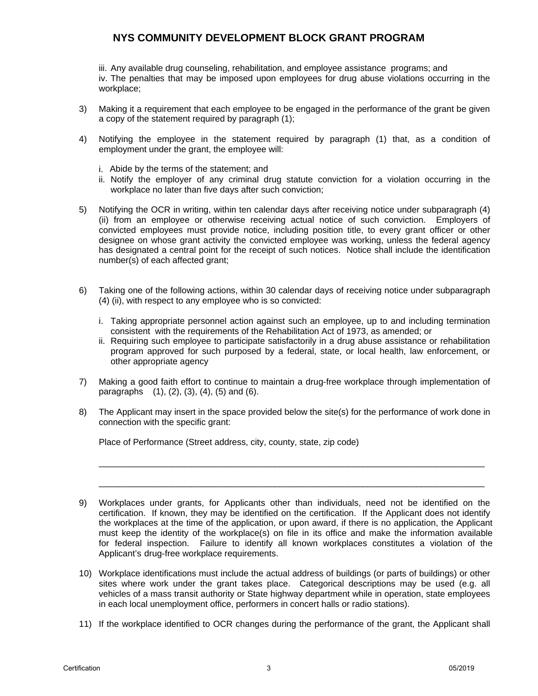iii. Any available drug counseling, rehabilitation, and employee assistance programs; and iv. The penalties that may be imposed upon employees for drug abuse violations occurring in the workplace;

- 3) Making it a requirement that each employee to be engaged in the performance of the grant be given a copy of the statement required by paragraph (1);
- 4) Notifying the employee in the statement required by paragraph (1) that, as a condition of employment under the grant, the employee will:
	- i. Abide by the terms of the statement; and
	- ii. Notify the employer of any criminal drug statute conviction for a violation occurring in the workplace no later than five days after such conviction;
- 5) Notifying the OCR in writing, within ten calendar days after receiving notice under subparagraph (4) (ii) from an employee or otherwise receiving actual notice of such conviction. Employers of convicted employees must provide notice, including position title, to every grant officer or other designee on whose grant activity the convicted employee was working, unless the federal agency has designated a central point for the receipt of such notices. Notice shall include the identification number(s) of each affected grant;
- 6) Taking one of the following actions, within 30 calendar days of receiving notice under subparagraph (4) (ii), with respect to any employee who is so convicted:
	- i. Taking appropriate personnel action against such an employee, up to and including termination consistent with the requirements of the Rehabilitation Act of 1973, as amended; or
	- ii. Requiring such employee to participate satisfactorily in a drug abuse assistance or rehabilitation program approved for such purposed by a federal, state, or local health, law enforcement, or other appropriate agency
- 7) Making a good faith effort to continue to maintain a drug-free workplace through implementation of paragraphs  $(1)$ ,  $(2)$ ,  $(3)$ ,  $(4)$ ,  $(5)$  and  $(6)$ .
- 8) The Applicant may insert in the space provided below the site(s) for the performance of work done in connection with the specific grant:

\_\_\_\_\_\_\_\_\_\_\_\_\_\_\_\_\_\_\_\_\_\_\_\_\_\_\_\_\_\_\_\_\_\_\_\_\_\_\_\_\_\_\_\_\_\_\_\_\_\_\_\_\_\_\_\_\_\_\_\_\_\_\_\_\_\_\_\_\_\_\_\_\_\_\_\_\_\_\_

\_\_\_\_\_\_\_\_\_\_\_\_\_\_\_\_\_\_\_\_\_\_\_\_\_\_\_\_\_\_\_\_\_\_\_\_\_\_\_\_\_\_\_\_\_\_\_\_\_\_\_\_\_\_\_\_\_\_\_\_\_\_\_\_\_\_\_\_\_\_\_\_\_\_\_\_\_\_\_

Place of Performance (Street address, city, county, state, zip code)

- 10) Workplace identifications must include the actual address of buildings (or parts of buildings) or other sites where work under the grant takes place. Categorical descriptions may be used (e.g. all vehicles of a mass transit authority or State highway department while in operation, state employees in each local unemployment office, performers in concert halls or radio stations).
- 11) If the workplace identified to OCR changes during the performance of the grant, the Applicant shall

<sup>9)</sup> Workplaces under grants, for Applicants other than individuals, need not be identified on the certification. If known, they may be identified on the certification. If the Applicant does not identify the workplaces at the time of the application, or upon award, if there is no application, the Applicant must keep the identity of the workplace(s) on file in its office and make the information available for federal inspection. Failure to identify all known workplaces constitutes a violation of the Applicant's drug-free workplace requirements.